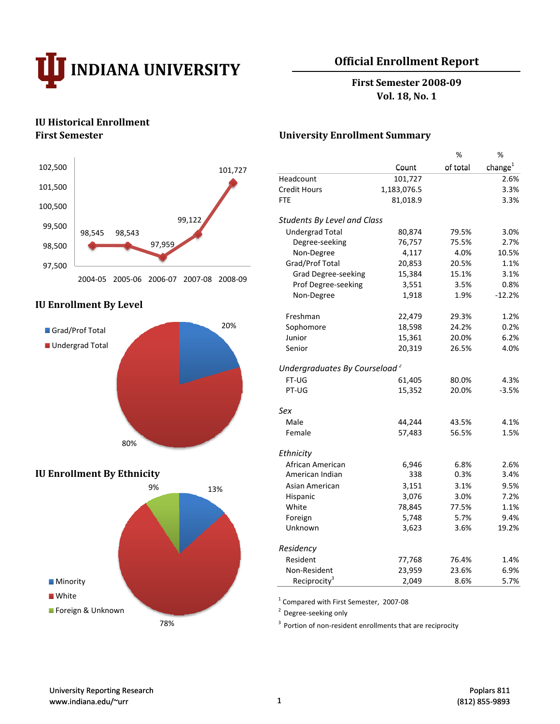

# **Official Enrollment Report**

**First Semester 200809 Vol. 18, No. 1**

# **IU Historical Enrollment**



# **IU Enrollment By Level**



## **IU Enrollment** By **Ethnicity**



#### **First Semester University Enrollment Summary**

|                                         |                                           |             | $\%$     | $\%$                |
|-----------------------------------------|-------------------------------------------|-------------|----------|---------------------|
| 102,500<br>101,727                      |                                           | Count       | of total | change <sup>1</sup> |
|                                         | Headcount                                 | 101,727     |          | 2.6%                |
| 101,500                                 | <b>Credit Hours</b>                       | 1,183,076.5 |          | 3.3%                |
| 100,500                                 | <b>FTE</b>                                | 81,018.9    |          | 3.3%                |
| 99,122                                  | <b>Students By Level and Class</b>        |             |          |                     |
| 99,500<br>98,545<br>98,543              | <b>Undergrad Total</b>                    | 80,874      | 79.5%    | 3.0%                |
| 97,959<br>98,500                        | Degree-seeking                            | 76,757      | 75.5%    | 2.7%                |
|                                         | Non-Degree                                | 4,117       | 4.0%     | 10.5%               |
| 97,500                                  | Grad/Prof Total                           | 20,853      | 20.5%    | 1.1%                |
| 2004-05 2005-06 2006-07 2007-08 2008-09 | <b>Grad Degree-seeking</b>                | 15,384      | 15.1%    | 3.1%                |
|                                         | Prof Degree-seeking                       | 3,551       | 3.5%     | 0.8%                |
|                                         | Non-Degree                                | 1,918       | 1.9%     | $-12.2%$            |
| <b>U Enrollment By Level</b>            |                                           |             |          |                     |
|                                         | Freshman                                  | 22,479      | 29.3%    | 1.2%                |
| 20%<br>Grad/Prof Total                  | Sophomore                                 | 18,598      | 24.2%    | 0.2%                |
|                                         | Junior                                    | 15,361      | 20.0%    | 6.2%                |
| Undergrad Total                         | Senior                                    | 20,319      | 26.5%    | 4.0%                |
|                                         |                                           |             |          |                     |
|                                         | Undergraduates By Courseload <sup>2</sup> |             |          |                     |
|                                         | FT-UG                                     | 61,405      | 80.0%    | 4.3%                |
|                                         | PT-UG                                     | 15,352      | 20.0%    | $-3.5%$             |
|                                         | Sex                                       |             |          |                     |
|                                         | Male                                      | 44,244      | 43.5%    | 4.1%                |
|                                         | Female                                    | 57,483      | 56.5%    | 1.5%                |
| 80%                                     |                                           |             |          |                     |
|                                         | Ethnicity                                 |             |          |                     |
|                                         | African American                          | 6,946       | 6.8%     | 2.6%                |
| <b>U Enrollment By Ethnicity</b>        | American Indian                           | 338         | 0.3%     | 3.4%                |
| 9%<br>13%                               | Asian American                            | 3,151       | 3.1%     | 9.5%                |
|                                         | Hispanic                                  | 3,076       | 3.0%     | 7.2%                |
|                                         | White                                     | 78,845      | 77.5%    | 1.1%                |
|                                         | Foreign                                   | 5,748       | 5.7%     | 9.4%                |
|                                         | Unknown                                   | 3,623       | 3.6%     | 19.2%               |
|                                         | Residency                                 |             |          |                     |
|                                         | Resident                                  | 77,768      | 76.4%    | 1.4%                |
|                                         | Non-Resident                              | 23,959      | 23.6%    | 6.9%                |
| <b>Minority</b>                         | Reciprocity <sup>3</sup>                  | 2,049       | 8.6%     | 5.7%                |

<sup>1</sup> Compared with First Semester, 2007‐08

<sup>2</sup> Degree‐seeking only

<sup>3</sup> 78% Portion of non‐resident enrollments that are reciprocity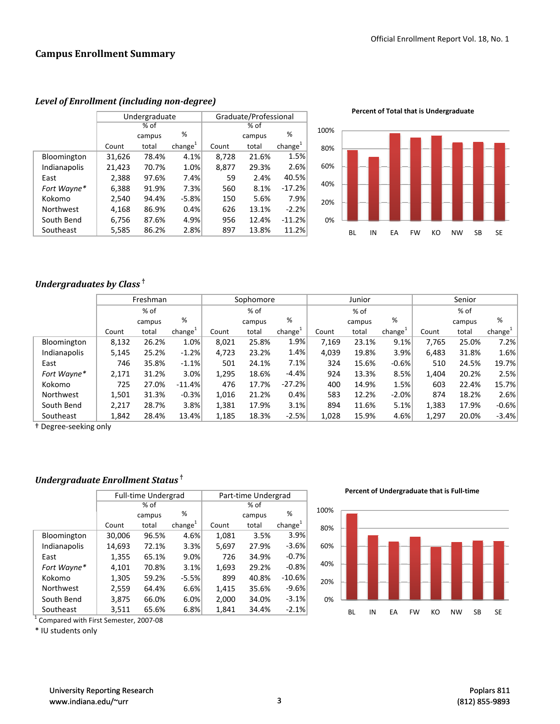#### **Campus Enrollment Summary**

|              |        | Undergraduate |                     | Graduate/Professional |        |                     |  |
|--------------|--------|---------------|---------------------|-----------------------|--------|---------------------|--|
|              |        | $%$ of        |                     | % of                  |        |                     |  |
|              |        | campus        | %                   |                       | campus | %                   |  |
|              | Count  | total         | change <sup>1</sup> | Count                 | total  | change <sup>1</sup> |  |
| Bloomington  | 31,626 | 78.4%         | 4.1%                | 8,728                 | 21.6%  | 1.5%                |  |
| Indianapolis | 21,423 | 70.7%         | 1.0%                | 8,877                 | 29.3%  | 2.6%                |  |
| East         | 2,388  | 97.6%         | 7.4%                | 59                    | 2.4%   | 40.5%               |  |
| Fort Wayne*  | 6,388  | 91.9%         | 7.3%                | 560                   | 8.1%   | $-17.2%$            |  |
| Kokomo       | 2,540  | 94.4%         | $-5.8%$             | 150                   | 5.6%   | 7.9%                |  |
| Northwest    | 4,168  | 86.9%         | 0.4%                | 626                   | 13.1%  | $-2.2%$             |  |
| South Bend   | 6,756  | 87.6%         | 4.9%                | 956                   | 12.4%  | $-11.2%$            |  |
| Southeast    | 5,585  | 86.2%         | 2.8%                | 897                   | 13.8%  | 11.2%               |  |

*Level of Enrollment (including nondegree)*

**Percent of Total that is Undergraduate**



## *Undergraduates by Class* **†**

|                                  |       | Freshman |           | Sophomore |        |           | Junior |        |           | Senior |        |                     |
|----------------------------------|-------|----------|-----------|-----------|--------|-----------|--------|--------|-----------|--------|--------|---------------------|
|                                  |       | % of     |           |           | % of   |           |        | $%$ of |           |        | % of   |                     |
|                                  |       | campus   | %         |           | campus | %         |        | campus | %         |        | campus | %                   |
|                                  | Count | total    | $change+$ | Count     | total  | $change+$ | Count  | total  | $change+$ | Count  | total  | change <sup>1</sup> |
| <b>Bloomington</b>               | 8,132 | 26.2%    | 1.0%      | 8,021     | 25.8%  | 1.9%      | 7.169  | 23.1%  | 9.1%      | 7.765  | 25.0%  | 7.2%                |
| Indianapolis                     | 5,145 | 25.2%    | $-1.2%$   | 4,723     | 23.2%  | 1.4%      | 4.039  | 19.8%  | 3.9%      | 6.483  | 31.8%  | 1.6%                |
| East                             | 746   | 35.8%    | $-1.1%$   | 501       | 24.1%  | 7.1%      | 324    | 15.6%  | $-0.6%$   | 510    | 24.5%  | 19.7%               |
| Fort Wayne*                      | 2,171 | 31.2%    | 3.0%      | 1,295     | 18.6%  | $-4.4%$   | 924    | 13.3%  | 8.5%      | 1,404  | 20.2%  | 2.5%                |
| Kokomo                           | 725   | 27.0%    | $-11.4%$  | 476       | 17.7%  | $-27.2%$  | 400    | 14.9%  | 1.5%      | 603    | 22.4%  | 15.7%               |
| Northwest                        | 1,501 | 31.3%    | $-0.3%$   | 1,016     | 21.2%  | 0.4%      | 583    | 12.2%  | $-2.0%$   | 874    | 18.2%  | 2.6%                |
| South Bend                       | 2,217 | 28.7%    | 3.8%      | 1,381     | 17.9%  | 3.1%      | 894    | 11.6%  | 5.1%      | 1,383  | 17.9%  | $-0.6%$             |
| Southeast                        | 1,842 | 28.4%    | 13.4%     | 1,185     | 18.3%  | $-2.5%$   | 1,028  | 15.9%  | 4.6%      | 1,297  | 20.0%  | $-3.4%$             |
| <sup>†</sup> Degree-seeking only |       |          |           |           |        |           |        |        |           |        |        |                     |

## *Undergraduate Enrollment Status* **†**

|                  |        | <b>Full-time Undergrad</b> |                     | Part-time Undergrad |        |                     |  |
|------------------|--------|----------------------------|---------------------|---------------------|--------|---------------------|--|
|                  | % of   |                            |                     | % of                |        |                     |  |
|                  |        | campus                     | %                   |                     | campus | %                   |  |
|                  | Count  | total                      | change <sup>1</sup> | Count               | total  | change <sup>1</sup> |  |
| Bloomington      | 30,006 | 96.5%                      | 4.6%                | 1,081               | 3.5%   | 3.9%                |  |
| Indianapolis     | 14,693 | 72.1%                      | 3.3%                | 5,697               | 27.9%  | $-3.6%$             |  |
| East             | 1,355  | 65.1%                      | 9.0%                | 726                 | 34.9%  | $-0.7%$             |  |
| Fort Wayne*      | 4,101  | 70.8%                      | 3.1%                | 1,693               | 29.2%  | $-0.8%$             |  |
| Kokomo           | 1,305  | 59.2%                      | $-5.5%$             | 899                 | 40.8%  | $-10.6%$            |  |
| <b>Northwest</b> | 2,559  | 64.4%                      | 6.6%                | 1,415               | 35.6%  | $-9.6%$             |  |
| South Bend       | 3,875  | 66.0%                      | 6.0%                | 2,000               | 34.0%  | $-3.1%$             |  |
| Southeast        | 3,511  | 65.6%                      | 6.8%                | 1,841               | 34.4%  | $-2.1%$             |  |

<sup>1</sup> Compared with First Semester, 2007‐08

\* IU students only

**Percent of Undergraduate that is Full‐time**

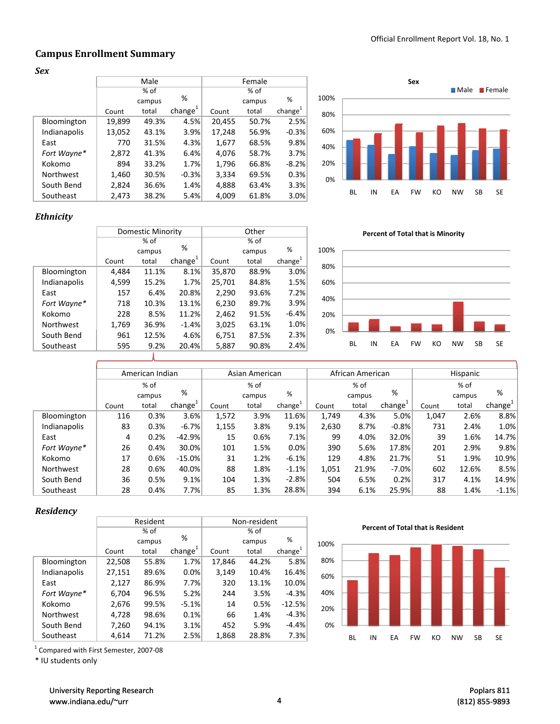## **Campus Enrollment Summary**

*Sex*

|              |        | Male   |               |        | Female |                     |      |    |    |    | Sex |
|--------------|--------|--------|---------------|--------|--------|---------------------|------|----|----|----|-----|
|              |        | % of   |               |        | % of   |                     |      |    |    |    |     |
|              |        | campus | %             |        | campus | %                   | 100% |    |    |    |     |
|              | Count  | total  | change $^{1}$ | Count  | total  | change <sup>1</sup> | 80%  |    |    |    |     |
| Bloomington  | 19,899 | 49.3%  | 4.5%          | 20,455 | 50.7%  | 2.5%                |      |    |    |    |     |
| Indianapolis | 13,052 | 43.1%  | 3.9%          | 17,248 | 56.9%  | $-0.3%$             | 60%  |    |    |    |     |
| East         | 770    | 31.5%  | 4.3%          | 1,677  | 68.5%  | 9.8%                | 40%  |    |    |    |     |
| Fort Wayne*  | 2,872  | 41.3%  | 6.4%          | 4,076  | 58.7%  | 3.7%                |      |    |    |    |     |
| Kokomo       | 894    | 33.2%  | 1.7%          | 1,796  | 66.8%  | $-8.2%$             | 20%  |    |    |    |     |
| Northwest    | 1,460  | 30.5%  | $-0.3%$       | 3,334  | 69.5%  | 0.3%                | 0%   |    |    |    |     |
| South Bend   | 2,824  | 36.6%  | 1.4%          | 4,888  | 63.4%  | 3.3%                |      |    |    |    |     |
| Southeast    | 2,473  | 38.2%  | 5.4%          | 4,009  | 61.8%  | 3.0%                |      | BL | IN | EA | FW  |



#### *Ethnicity*

|              |       | Domestic Minority |               | Other  |        |                     |  |  |
|--------------|-------|-------------------|---------------|--------|--------|---------------------|--|--|
|              |       | % of              |               |        | $%$ of |                     |  |  |
|              |       | campus            | %             |        | campus | %                   |  |  |
|              | Count | total             | change $^{1}$ | Count  | total  | change <sup>1</sup> |  |  |
| Bloomington  | 4,484 | 11.1%             | 8.1%          | 35,870 | 88.9%  | 3.0%                |  |  |
| Indianapolis | 4,599 | 15.2%             | 1.7%          | 25,701 | 84.8%  | 1.5%                |  |  |
| East         | 157   | 6.4%              | 20.8%         | 2,290  | 93.6%  | 7.2%                |  |  |
| Fort Wayne*  | 718   | 10.3%             | 13.1%         | 6,230  | 89.7%  | 3.9%                |  |  |
| Kokomo       | 228   | 8.5%              | 11.2%         | 2,462  | 91.5%  | $-6.4%$             |  |  |
| Northwest    | 1,769 | 36.9%             | $-1.4%$       | 3,025  | 63.1%  | 1.0%                |  |  |
| South Bend   | 961   | 12.5%             | 4.6%          | 6,751  | 87.5%  | 2.3%                |  |  |
| Southeast    | 595   | 9.2%              | 20.4%         | 5,887  | 90.8%  | 2.4%                |  |  |





|              |       | American Indian |                     |       | Asian American |           |       | African American |                     | Hispanic |        |                     |
|--------------|-------|-----------------|---------------------|-------|----------------|-----------|-------|------------------|---------------------|----------|--------|---------------------|
|              |       | % of            |                     |       | % of           |           |       | % of             |                     |          | % of   |                     |
|              |       | campus          | %                   |       | campus         | %         |       | campus           | %                   |          | campus | %                   |
|              | Count | total           | change <sup>+</sup> | Count | total          | $change+$ | Count | total            | change <sup>+</sup> | Count    | total  | change <sup>+</sup> |
| Bloomington  | 116   | 0.3%            | 3.6%                | 1,572 | 3.9%           | 11.6%     | 1.749 | 4.3%             | 5.0%                | 1.047    | 2.6%   | 8.8%                |
| Indianapolis | 83    | 0.3%            | $-6.7%$             | 1,155 | 3.8%           | 9.1%      | 2,630 | 8.7%             | $-0.8%$             | 731      | 2.4%   | 1.0%                |
| East         | 4     | 0.2%            | $-42.9%$            | 15    | 0.6%           | 7.1%      | 99    | 4.0%             | 32.0%               | 39       | 1.6%   | 14.7%               |
| Fort Wayne*  | 26    | 0.4%            | 30.0%               | 101   | 1.5%           | 0.0%      | 390   | 5.6%             | 17.8%               | 201      | 2.9%   | 9.8%                |
| Kokomo       | 17    | 0.6%            | $-15.0%$            | 31    | 1.2%           | $-6.1%$   | 129   | 4.8%             | 21.7%               | 51       | 1.9%   | 10.9%               |
| Northwest    | 28    | 0.6%            | 40.0%               | 88    | 1.8%           | $-1.1%$   | 1,051 | 21.9%            | $-7.0%$             | 602      | 12.6%  | 8.5%                |
| South Bend   | 36    | 0.5%            | 9.1%                | 104   | 1.3%           | $-2.8%$   | 504   | 6.5%             | 0.2%                | 317      | 4.1%   | 14.9%               |
| Southeast    | 28    | 0.4%            | 7.7%                | 85    | 1.3%           | 28.8%     | 394   | 6.1%             | 25.9%               | 88       | 1.4%   | $-1.1%$             |

#### *R id Residency*

|              |        | Resident |                     | Non-resident |        |                     |  |
|--------------|--------|----------|---------------------|--------------|--------|---------------------|--|
|              |        | % of     |                     |              | % of   |                     |  |
|              |        | campus   | %                   |              | campus | %                   |  |
|              | Count  | total    | change <sup>1</sup> | Count        | total  | change <sup>1</sup> |  |
| Bloomington  | 22,508 | 55.8%    | 1.7%                | 17,846       | 44.2%  | 5.8%                |  |
| Indianapolis | 27,151 | 89.6%    | 0.0%                | 3,149        | 10.4%  | 16.4%               |  |
| East         | 2,127  | 86.9%    | 7.7%                | 320          | 13.1%  | 10.0%               |  |
| Fort Wayne*  | 6,704  | 96.5%    | 5.2%                | 244          | 3.5%   | $-4.3%$             |  |
| Kokomo       | 2,676  | 99.5%    | $-5.1%$             | 14           | 0.5%   | $-12.5%$            |  |
| Northwest    | 4,728  | 98.6%    | 0.1%                | 66           | 1.4%   | $-4.3%$             |  |
| South Bend   | 7,260  | 94.1%    | 3.1%                | 452          | 5.9%   | $-4.4%$             |  |
| Southeast    | 4,614  | 71.2%    | 2.5%                | 1,868        | 28.8%  | 7.3%                |  |

**Percent of Total that is Resident**



<sup>1</sup> Compared with First Semester, 2007‐08

\* IU students only